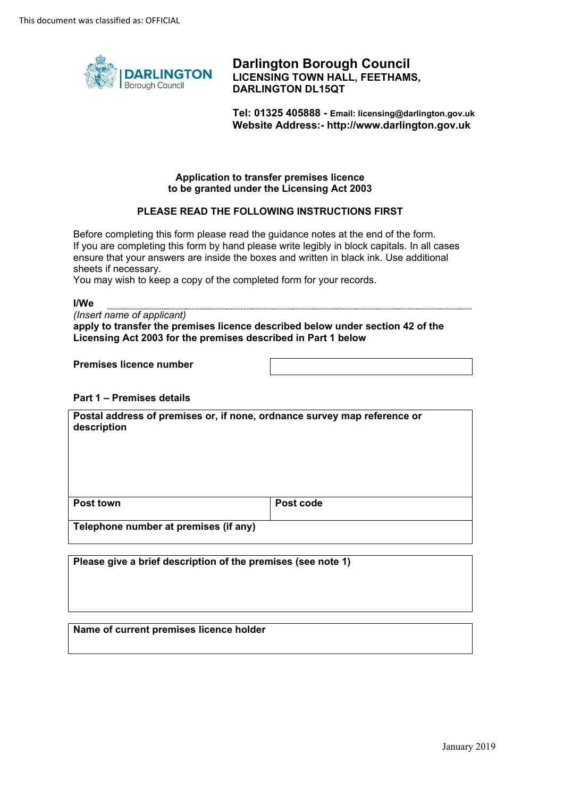

**Darlington Borough Council LICENSING TOWN HALL, FEETHAMS, DARLINGTON DL15QT** 

**Tel: 01325 405888 - Email: licensing@darlington.gov.uk Website Address:-<http://www.darlington.gov.uk>**

### **Application to transfer premises licence to be granted under the Licensing Act 2003**

### **PLEASE READ THE FOLLOWING INSTRUCTIONS FIRST**

 If you are completing this form by hand please write legibly in block capitals. In all cases Before completing this form please read the guidance notes at the end of the form. ensure that your answers are inside the boxes and written in black ink. Use additional sheets if necessary.

You may wish to keep a copy of the completed form for your records.

**I/We** 

| (Insert name of applicant)                                                     |
|--------------------------------------------------------------------------------|
| apply to transfer the premises licence described below under section 42 of the |
| Licensing Act 2003 for the premises described in Part 1 below                  |

**Premises licence number** 

#### **Part 1 – Premises details**

| Postal address of premises or, if none, ordnance survey map reference or<br>description |           |
|-----------------------------------------------------------------------------------------|-----------|
| Post town                                                                               | Post code |
| Telephone number at premises (if any)                                                   |           |

**Please give a brief description of the premises (see note 1)** 

#### **Name of current premises licence holder**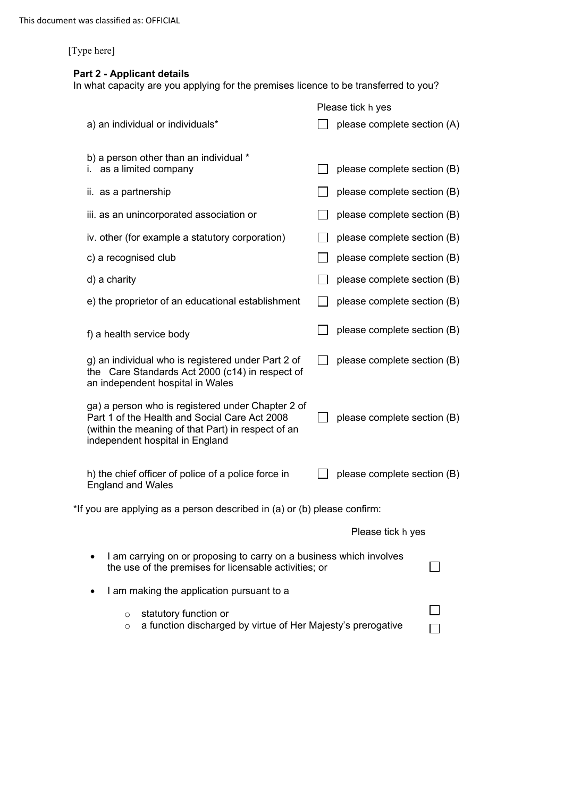# **Part 2 - Applicant details**

In what capacity are you applying for the premises licence to be transferred to you?

|                                                                                                                                                                                             | Please tick h yes           |
|---------------------------------------------------------------------------------------------------------------------------------------------------------------------------------------------|-----------------------------|
| a) an individual or individuals*                                                                                                                                                            | please complete section (A) |
| b) a person other than an individual *<br>i. as a limited company                                                                                                                           | please complete section (B) |
| ii. as a partnership                                                                                                                                                                        | please complete section (B) |
| iii. as an unincorporated association or                                                                                                                                                    | please complete section (B) |
| iv. other (for example a statutory corporation)                                                                                                                                             | please complete section (B) |
| c) a recognised club                                                                                                                                                                        | please complete section (B) |
| d) a charity                                                                                                                                                                                | please complete section (B) |
| e) the proprietor of an educational establishment                                                                                                                                           | please complete section (B) |
| f) a health service body                                                                                                                                                                    | please complete section (B) |
| g) an individual who is registered under Part 2 of<br>the Care Standards Act 2000 (c14) in respect of<br>an independent hospital in Wales                                                   | please complete section (B) |
| ga) a person who is registered under Chapter 2 of<br>Part 1 of the Health and Social Care Act 2008<br>(within the meaning of that Part) in respect of an<br>independent hospital in England | please complete section (B) |
| h) the chief officer of police of a police force in<br><b>England and Wales</b>                                                                                                             | please complete section (B) |
| *If you are applying as a person described in (a) or (b) please confirm:                                                                                                                    |                             |
|                                                                                                                                                                                             | Please tick h yes           |
| I am carrying on or proposing to carry on a business which involves<br>the use of the premises for licensable activities; or                                                                |                             |
| I am making the application pursuant to a                                                                                                                                                   |                             |
| statutory function or<br>$\circ$<br>a function discharged by virtue of Her Majesty's prerogative<br>$\circ$                                                                                 |                             |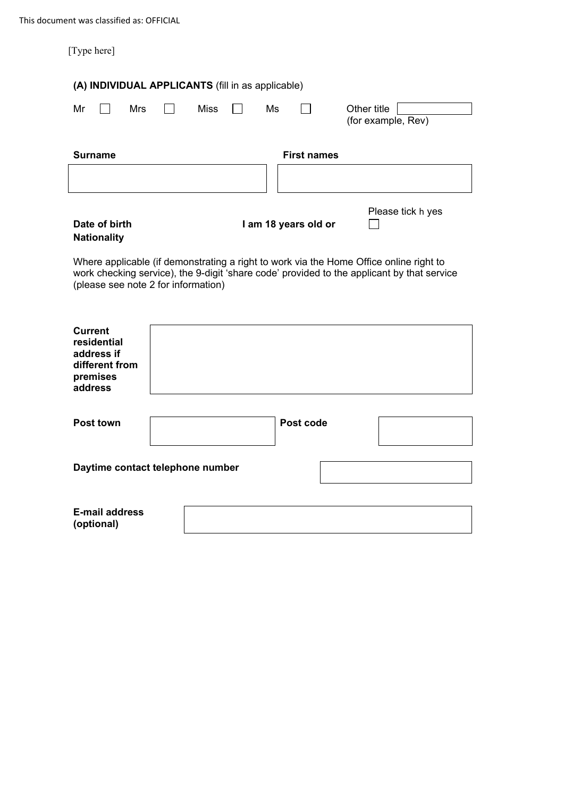| [Type here]                                                        |                                     |     |  |                                                   |    |                      |                                                                                                                                                                                      |
|--------------------------------------------------------------------|-------------------------------------|-----|--|---------------------------------------------------|----|----------------------|--------------------------------------------------------------------------------------------------------------------------------------------------------------------------------------|
|                                                                    |                                     |     |  | (A) INDIVIDUAL APPLICANTS (fill in as applicable) |    |                      |                                                                                                                                                                                      |
| Mr                                                                 |                                     | Mrs |  | <b>Miss</b>                                       | Ms |                      | Other title<br>(for example, Rev)                                                                                                                                                    |
| <b>Surname</b>                                                     |                                     |     |  |                                                   |    | <b>First names</b>   |                                                                                                                                                                                      |
|                                                                    |                                     |     |  |                                                   |    |                      |                                                                                                                                                                                      |
|                                                                    | Date of birth<br><b>Nationality</b> |     |  |                                                   |    | I am 18 years old or | Please tick h yes                                                                                                                                                                    |
|                                                                    |                                     |     |  | (please see note 2 for information)               |    |                      | Where applicable (if demonstrating a right to work via the Home Office online right to<br>work checking service), the 9-digit 'share code' provided to the applicant by that service |
| <b>Current</b><br>residential<br>address if<br>premises<br>address | different from                      |     |  |                                                   |    |                      |                                                                                                                                                                                      |
| <b>Post town</b>                                                   |                                     |     |  |                                                   |    | Post code            |                                                                                                                                                                                      |
|                                                                    |                                     |     |  |                                                   |    |                      |                                                                                                                                                                                      |
| Daytime contact telephone number                                   |                                     |     |  |                                                   |    |                      |                                                                                                                                                                                      |
| (optional)                                                         | <b>E-mail address</b>               |     |  |                                                   |    |                      |                                                                                                                                                                                      |
|                                                                    |                                     |     |  |                                                   |    |                      |                                                                                                                                                                                      |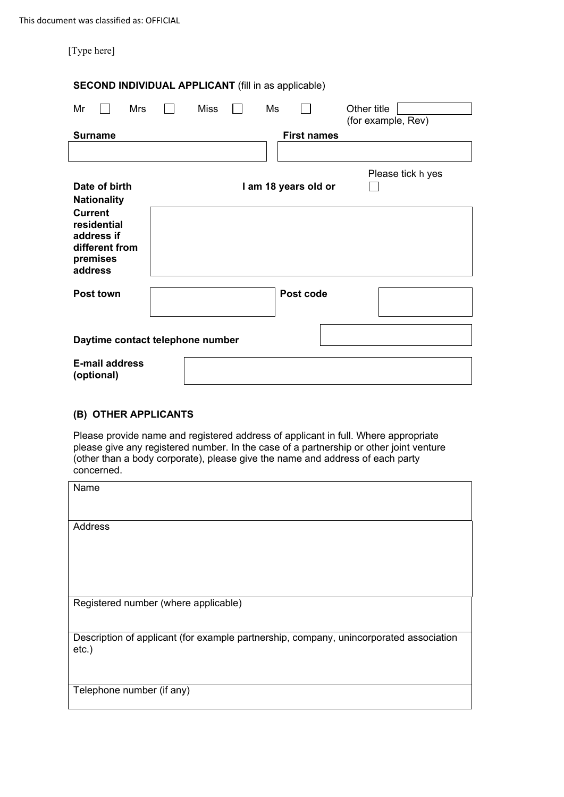| <b>SECOND INDIVIDUAL APPLICANT</b> (fill in as applicable)                           |             |  |                      |                                   |
|--------------------------------------------------------------------------------------|-------------|--|----------------------|-----------------------------------|
| Mr<br>Mrs                                                                            | <b>Miss</b> |  | Ms                   | Other title<br>(for example, Rev) |
| <b>Surname</b>                                                                       |             |  | <b>First names</b>   |                                   |
|                                                                                      |             |  |                      |                                   |
|                                                                                      |             |  |                      | Please tick h yes                 |
| Date of birth<br><b>Nationality</b>                                                  |             |  | I am 18 years old or |                                   |
| <b>Current</b><br>residential<br>address if<br>different from<br>premises<br>address |             |  |                      |                                   |
| <b>Post town</b>                                                                     |             |  | Post code            |                                   |
| Daytime contact telephone number                                                     |             |  |                      |                                   |
| <b>E-mail address</b><br>(optional)                                                  |             |  |                      |                                   |

## **(B) OTHER APPLICANTS**

Please provide name and registered address of applicant in full. Where appropriate please give any registered number. In the case of a partnership or other joint venture (other than a body corporate), please give the name and address of each party concerned.

| Name                                                                                               |
|----------------------------------------------------------------------------------------------------|
| Address                                                                                            |
| Registered number (where applicable)                                                               |
| Description of applicant (for example partnership, company, unincorporated association<br>$etc.$ ) |
| Telephone number (if any)                                                                          |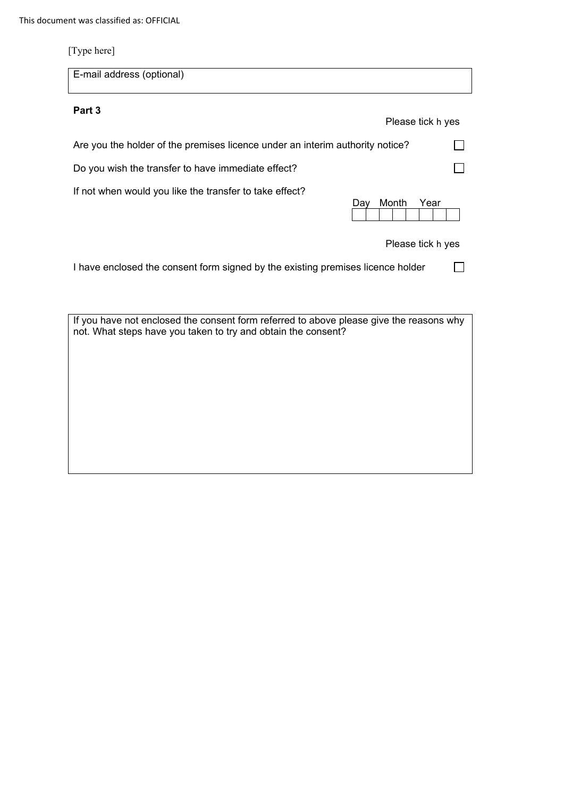| E-mail address (optional)                                                       |  |
|---------------------------------------------------------------------------------|--|
| Part 3<br>Please tick h yes                                                     |  |
| Are you the holder of the premises licence under an interim authority notice?   |  |
| Do you wish the transfer to have immediate effect?                              |  |
| If not when would you like the transfer to take effect?<br>Month<br>Year<br>Dav |  |
| Please tick h yes                                                               |  |
| I have enclosed the consent form signed by the existing premises licence holder |  |

If you have not enclosed the consent form referred to above please give the reasons why not. What steps have you taken to try and obtain the consent?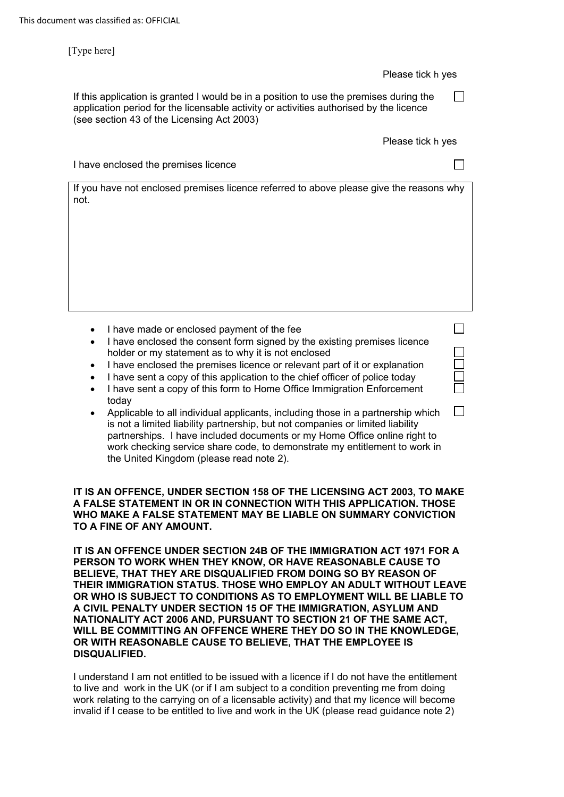#### Please tick h yes

□

□

□

□ □ □ □ □

If this application is granted I would be in a position to use the premises during the application period for the licensable activity or activities authorised by the licence (see section 43 of the Licensing Act 2003)

Please tick h yes

I have enclosed the premises licence

If you have not enclosed premises licence referred to above please give the reasons why not.

- I have made or enclosed payment of the fee
- I have enclosed the consent form signed by the existing premises licence holder or my statement as to why it is not enclosed
- I have enclosed the premises licence or relevant part of it or explanation
- I have sent a copy of this application to the chief officer of police today
- I have sent a copy of this form to Home Office Immigration Enforcement today
- Applicable to all individual applicants, including those in a partnership which is not a limited liability partnership, but not companies or limited liability partnerships. I have included documents or my Home Office online right to work checking service share code, to demonstrate my entitlement to work in the United Kingdom (please read note 2).

**TO A FINE OF ANY AMOUNT. IT IS AN OFFENCE, UNDER SECTION 158 OF THE LICENSING ACT 2003, TO MAKE A FALSE STATEMENT IN OR IN CONNECTION WITH THIS APPLICATION. THOSE WHO MAKE A FALSE STATEMENT MAY BE LIABLE ON SUMMARY CONVICTION** 

 **OR WHO IS SUBJECT TO CONDITIONS AS TO EMPLOYMENT WILL BE LIABLE TO NATIONALITY ACT 2006 AND, PURSUANT TO SECTION 21 OF THE SAME ACT, OR WITH REASONABLE CAUSE TO BELIEVE, THAT THE EMPLOYEE IS IT IS AN OFFENCE UNDER SECTION 24B OF THE IMMIGRATION ACT 1971 FOR A PERSON TO WORK WHEN THEY KNOW, OR HAVE REASONABLE CAUSE TO BELIEVE, THAT THEY ARE DISQUALIFIED FROM DOING SO BY REASON OF THEIR IMMIGRATION STATUS. THOSE WHO EMPLOY AN ADULT WITHOUT LEAVE A CIVIL PENALTY UNDER SECTION 15 OF THE IMMIGRATION, ASYLUM AND WILL BE COMMITTING AN OFFENCE WHERE THEY DO SO IN THE KNOWLEDGE, DISQUALIFIED.** 

I understand I am not entitled to be issued with a licence if I do not have the entitlement to live and work in the UK (or if I am subject to a condition preventing me from doing work relating to the carrying on of a licensable activity) and that my licence will become invalid if I cease to be entitled to live and work in the UK (please read guidance note 2)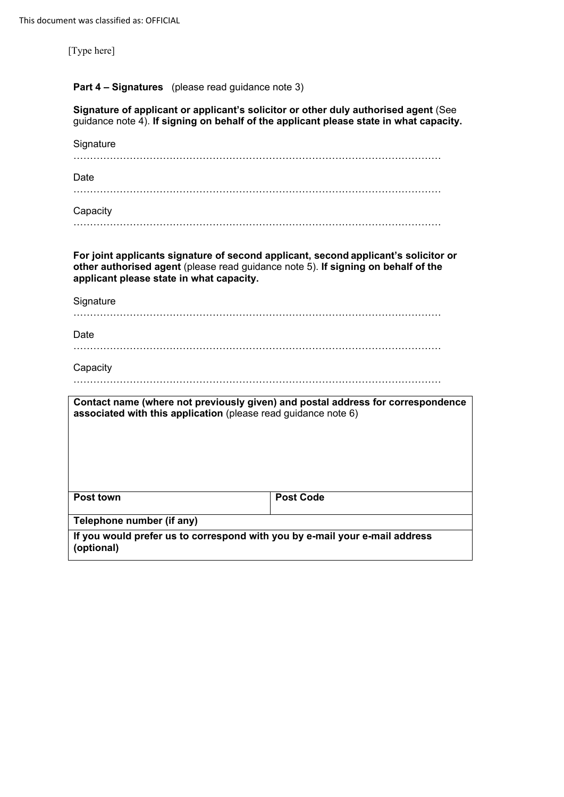## **Part 4 – Signatures** (please read guidance note 3)

| Signature of applicant or applicant's solicitor or other duly authorised agent (See    |  |
|----------------------------------------------------------------------------------------|--|
| guidance note 4). If signing on behalf of the applicant please state in what capacity. |  |

| Signature                                                                                                                                                                                                            |                                                                                 |
|----------------------------------------------------------------------------------------------------------------------------------------------------------------------------------------------------------------------|---------------------------------------------------------------------------------|
|                                                                                                                                                                                                                      |                                                                                 |
| Date                                                                                                                                                                                                                 |                                                                                 |
|                                                                                                                                                                                                                      |                                                                                 |
| Capacity                                                                                                                                                                                                             |                                                                                 |
|                                                                                                                                                                                                                      |                                                                                 |
| For joint applicants signature of second applicant, second applicant's solicitor or<br>other authorised agent (please read guidance note 5). If signing on behalf of the<br>applicant please state in what capacity. |                                                                                 |
| Signature                                                                                                                                                                                                            |                                                                                 |
|                                                                                                                                                                                                                      |                                                                                 |
| Date                                                                                                                                                                                                                 |                                                                                 |
|                                                                                                                                                                                                                      |                                                                                 |
| Capacity                                                                                                                                                                                                             |                                                                                 |
|                                                                                                                                                                                                                      |                                                                                 |
| associated with this application (please read guidance note 6)                                                                                                                                                       | Contact name (where not previously given) and postal address for correspondence |
|                                                                                                                                                                                                                      |                                                                                 |
|                                                                                                                                                                                                                      |                                                                                 |
|                                                                                                                                                                                                                      |                                                                                 |
|                                                                                                                                                                                                                      |                                                                                 |
| <b>Post town</b>                                                                                                                                                                                                     | <b>Post Code</b>                                                                |
| Telephone number (if any)                                                                                                                                                                                            |                                                                                 |
| If you would prefer us to correspond with you by e-mail your e-mail address<br>(optional)                                                                                                                            |                                                                                 |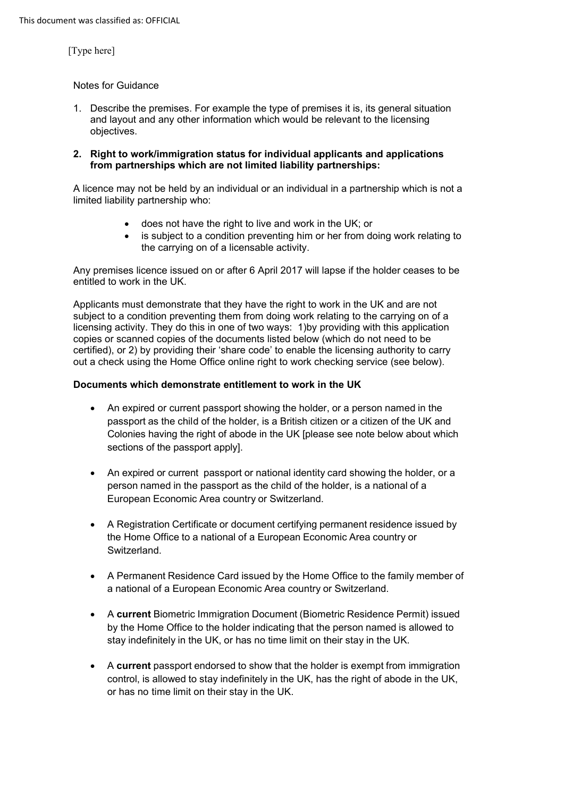### Notes for Guidance

- 1. Describe the premises. For example the type of premises it is, its general situation and layout and any other information which would be relevant to the licensing objectives.
- **2. Right to work/immigration status for individual applicants and applications from partnerships which are not limited liability partnerships:**

A licence may not be held by an individual or an individual in a partnership which is not a limited liability partnership who:

- does not have the right to live and work in the UK; or
- is subject to a condition preventing him or her from doing work relating to the carrying on of a licensable activity.

Any premises licence issued on or after 6 April 2017 will lapse if the holder ceases to be entitled to work in the UK.

 licensing activity. They do this in one of two ways: 1)by providing with this application certified), or 2) by providing their 'share code' to enable the licensing authority to carry Applicants must demonstrate that they have the right to work in the UK and are not subject to a condition preventing them from doing work relating to the carrying on of a copies or scanned copies of the documents listed below (which do not need to be out a check using the Home Office online right to work checking service (see below).

### **Documents which demonstrate entitlement to work in the UK**

- • An expired or current passport showing the holder, or a person named in the passport as the child of the holder, is a British citizen or a citizen of the UK and Colonies having the right of abode in the UK [please see note below about which sections of the passport apply].
- • An expired or current passport or national identity card showing the holder, or a person named in the passport as the child of the holder, is a national of a European Economic Area country or Switzerland.
- • A Registration Certificate or document certifying permanent residence issued by the Home Office to a national of a European Economic Area country or Switzerland.
- • A Permanent Residence Card issued by the Home Office to the family member of a national of a European Economic Area country or Switzerland.
- • A **current** Biometric Immigration Document (Biometric Residence Permit) issued by the Home Office to the holder indicating that the person named is allowed to stay indefinitely in the UK, or has no time limit on their stay in the UK.
- • A **current** passport endorsed to show that the holder is exempt from immigration control, is allowed to stay indefinitely in the UK, has the right of abode in the UK, or has no time limit on their stay in the UK.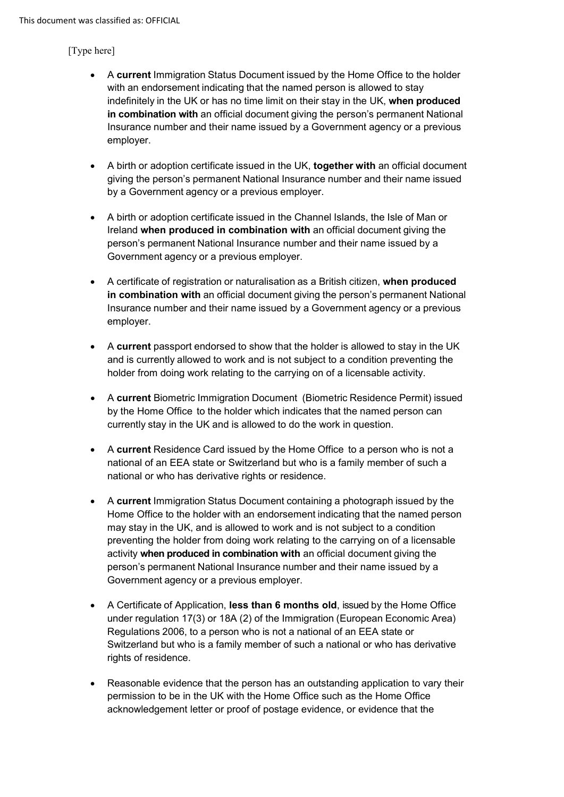- with an endorsement indicating that the named person is allowed to stay indefinitely in the UK or has no time limit on their stay in the UK, **when produced in combination with** an official document giving the person's permanent National Insurance number and their name issued by a Government agency or a previous • A **current** Immigration Status Document issued by the Home Office to the holder employer.
- • A birth or adoption certificate issued in the UK, **together with** an official document giving the person's permanent National Insurance number and their name issued by a Government agency or a previous employer.
- • A birth or adoption certificate issued in the Channel Islands, the Isle of Man or Ireland **when produced in combination with** an official document giving the person's permanent National Insurance number and their name issued by a Government agency or a previous employer.
- • A certificate of registration or naturalisation as a British citizen, **when produced in combination with** an official document giving the person's permanent National Insurance number and their name issued by a Government agency or a previous employer.
- • A **current** passport endorsed to show that the holder is allowed to stay in the UK and is currently allowed to work and is not subject to a condition preventing the holder from doing work relating to the carrying on of a licensable activity.
- • A **current** Biometric Immigration Document (Biometric Residence Permit) issued by the Home Office to the holder which indicates that the named person can currently stay in the UK and is allowed to do the work in question.
- • A **current** Residence Card issued by the Home Office to a person who is not a national of an EEA state or Switzerland but who is a family member of such a national or who has derivative rights or residence.
- • A **current** Immigration Status Document containing a photograph issued by the Home Office to the holder with an endorsement indicating that the named person may stay in the UK, and is allowed to work and is not subject to a condition activity **when produced in combination with** an official document giving the person's permanent National Insurance number and their name issued by a Government agency or a previous employer. preventing the holder from doing work relating to the carrying on of a licensable
- under regulation 17(3) or 18A (2) of the Immigration (European Economic Area) Regulations 2006, to a person who is not a national of an EEA state or Switzerland but who is a family member of such a national or who has derivative rights of residence. • A Certificate of Application, **less than 6 months old**, issued by the Home Office
- Reasonable evidence that the person has an outstanding application to vary their permission to be in the UK with the Home Office such as the Home Office acknowledgement letter or proof of postage evidence, or evidence that the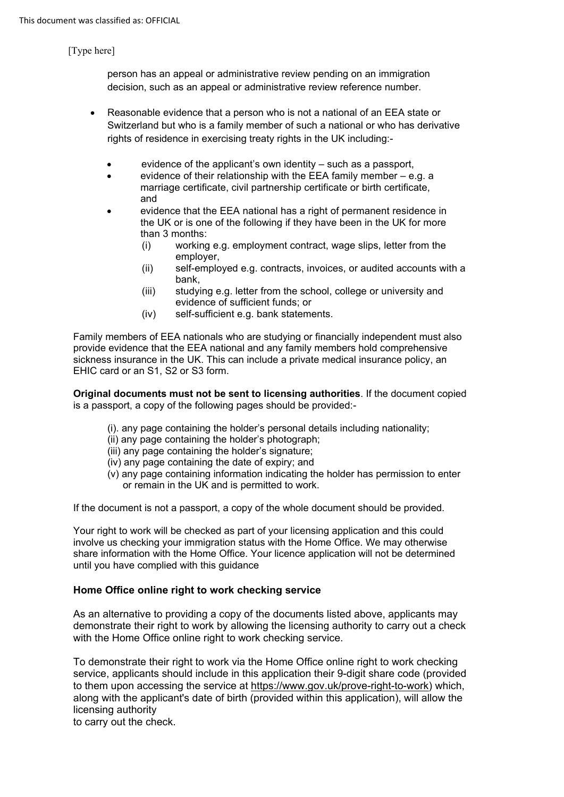person has an appeal or administrative review pending on an immigration decision, such as an appeal or administrative review reference number.

- • Reasonable evidence that a person who is not a national of an EEA state or rights of residence in exercising treaty rights in the UK including:- Switzerland but who is a family member of such a national or who has derivative
	- evidence of the applicant's own identity such as a passport,
	- evidence of their relationship with the EEA family member e.g. a marriage certificate, civil partnership certificate or birth certificate, and
	- the UK or is one of the following if they have been in the UK for more • evidence that the EEA national has a right of permanent residence in than 3 months:
		- (i) working e.g. employment contract, wage slips, letter from the employer,
		- (ii) self-employed e.g. contracts, invoices, or audited accounts with a bank,
		- (iii) studying e.g. letter from the school, college or university and evidence of sufficient funds; or
		- (iv) self-sufficient e.g. bank statements.

Family members of EEA nationals who are studying or financially independent must also provide evidence that the EEA national and any family members hold comprehensive sickness insurance in the UK. This can include a private medical insurance policy, an EHIC card or an S1, S2 or S3 form.

**Original documents must not be sent to licensing authorities**. If the document copied is a passport, a copy of the following pages should be provided:-

- (i). any page containing the holder's personal details including nationality;
- (ii) any page containing the holder's photograph;
- (iii) any page containing the holder's signature;
- (iv) any page containing the date of expiry; and
- (v) any page containing information indicating the holder has permission to enter or remain in the UK and is permitted to work.

If the document is not a passport, a copy of the whole document should be provided.

Your right to work will be checked as part of your licensing application and this could involve us checking your immigration status with the Home Office. We may otherwise share information with the Home Office. Your licence application will not be determined until you have complied with this guidance

# **Home Office online right to work checking service**

As an alternative to providing a copy of the documents listed above, applicants may demonstrate their right to work by allowing the licensing authority to carry out a check with the Home Office online right to work checking service.

To demonstrate their right to work via the Home Office online right to work checking service, applicants should include in this application their 9-digit share code (provided to them upon accessing the service at [https://www.gov.uk/prove-right-to-work\)](https://www.gov.uk/prove-right-to-work) which, along with the applicant's date of birth (provided within this application), will allow the licensing authority

to carry out the check.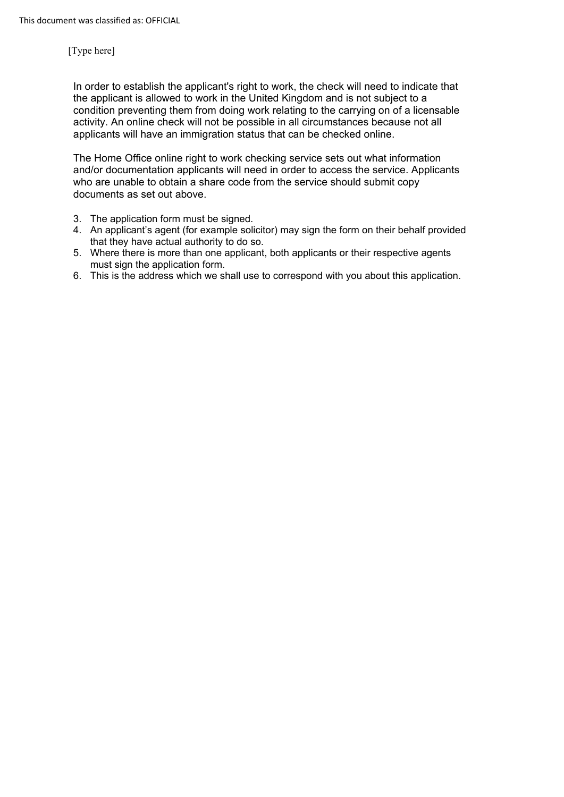In order to establish the applicant's right to work, the check will need to indicate that the applicant is allowed to work in the United Kingdom and is not subject to a condition preventing them from doing work relating to the carrying on of a licensable activity. An online check will not be possible in all circumstances because not all applicants will have an immigration status that can be checked online.

The Home Office online right to work checking service sets out what information and/or documentation applicants will need in order to access the service. Applicants who are unable to obtain a share code from the service should submit copy documents as set out above.

- 3. The application form must be signed.
- 4. An applicant's agent (for example solicitor) may sign the form on their behalf provided that they have actual authority to do so.
- 5. Where there is more than one applicant, both applicants or their respective agents must sign the application form.
- 6. This is the address which we shall use to correspond with you about this application.